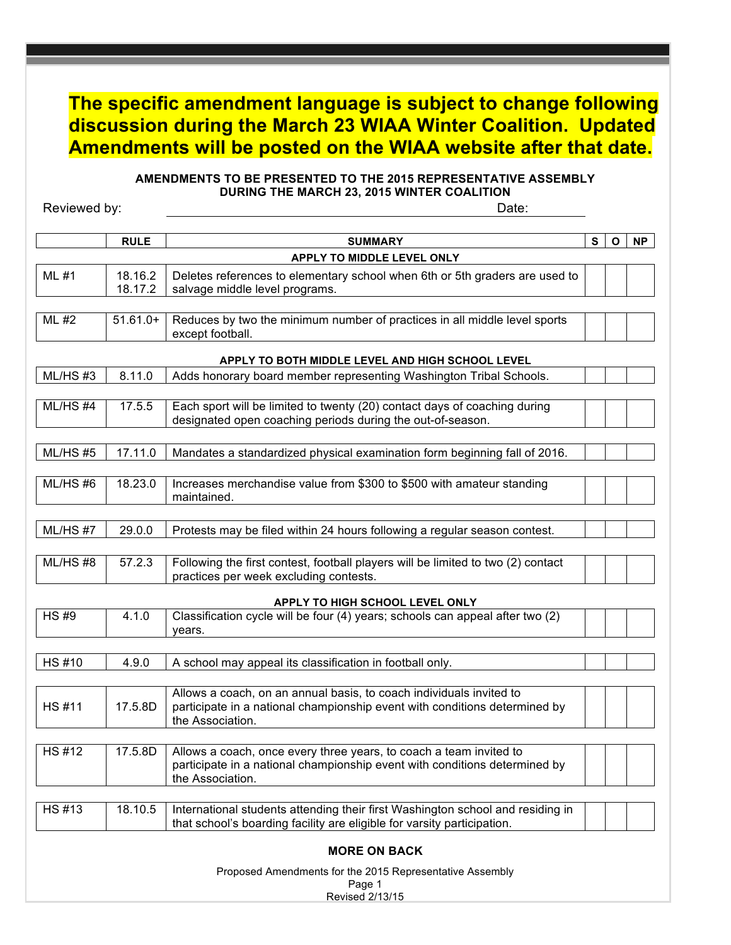# **The specific amendment language is subject to change following discussion during the March 23 WIAA Winter Coalition. Updated Amendments will be posted on the WIAA website after that date.**

# **AMENDMENTS TO BE PRESENTED TO THE 2015 REPRESENTATIVE ASSEMBLY DURING THE MARCH 23, 2015 WINTER COALITION**

Reviewed by: Date:

|                     | <b>RULE</b>        | <b>SUMMARY</b>                                                                                                                                                        | S | $\mathbf{o}$ | <b>NP</b> |
|---------------------|--------------------|-----------------------------------------------------------------------------------------------------------------------------------------------------------------------|---|--------------|-----------|
|                     |                    | APPLY TO MIDDLE LEVEL ONLY                                                                                                                                            |   |              |           |
| ML #1               | 18.16.2<br>18.17.2 | Deletes references to elementary school when 6th or 5th graders are used to<br>salvage middle level programs.                                                         |   |              |           |
|                     |                    |                                                                                                                                                                       |   |              |           |
| ML #2               | $51.61.0+$         | Reduces by two the minimum number of practices in all middle level sports<br>except football.                                                                         |   |              |           |
|                     |                    | APPLY TO BOTH MIDDLE LEVEL AND HIGH SCHOOL LEVEL                                                                                                                      |   |              |           |
| ML/HS#3             | 8.11.0             | Adds honorary board member representing Washington Tribal Schools.                                                                                                    |   |              |           |
| ML/HS#4             | 17.5.5             | Each sport will be limited to twenty (20) contact days of coaching during<br>designated open coaching periods during the out-of-season.                               |   |              |           |
| ML/HS#5             | 17.11.0            | Mandates a standardized physical examination form beginning fall of 2016.                                                                                             |   |              |           |
| ML/HS#6             | 18.23.0            | Increases merchandise value from \$300 to \$500 with amateur standing<br>maintained.                                                                                  |   |              |           |
| ML/HS#7             | 29.0.0             | Protests may be filed within 24 hours following a regular season contest.                                                                                             |   |              |           |
| ML/HS#8             | 57.2.3             | Following the first contest, football players will be limited to two (2) contact<br>practices per week excluding contests.                                            |   |              |           |
|                     |                    | APPLY TO HIGH SCHOOL LEVEL ONLY                                                                                                                                       |   |              |           |
| <b>HS#9</b>         | 4.1.0              | Classification cycle will be four (4) years; schools can appeal after two (2)<br>vears.                                                                               |   |              |           |
| <b>HS#10</b>        | 4.9.0              | A school may appeal its classification in football only.                                                                                                              |   |              |           |
|                     |                    |                                                                                                                                                                       |   |              |           |
| <b>HS#11</b>        | 17.5.8D            | Allows a coach, on an annual basis, to coach individuals invited to<br>participate in a national championship event with conditions determined by<br>the Association. |   |              |           |
|                     |                    |                                                                                                                                                                       |   |              |           |
| <b>HS#12</b>        | 17.5.8D            | Allows a coach, once every three years, to coach a team invited to<br>participate in a national championship event with conditions determined by<br>the Association.  |   |              |           |
| $\overline{HS}$ #13 | 18.10.5            | International students attending their first Washington school and residing in<br>that school's boarding facility are eligible for varsity participation.             |   |              |           |
|                     |                    | <b>MORE ON BACK</b>                                                                                                                                                   |   |              |           |
|                     |                    | Proposed Amendments for the 2015 Representative Assembly<br>Page 1                                                                                                    |   |              |           |

Revised 2/13/15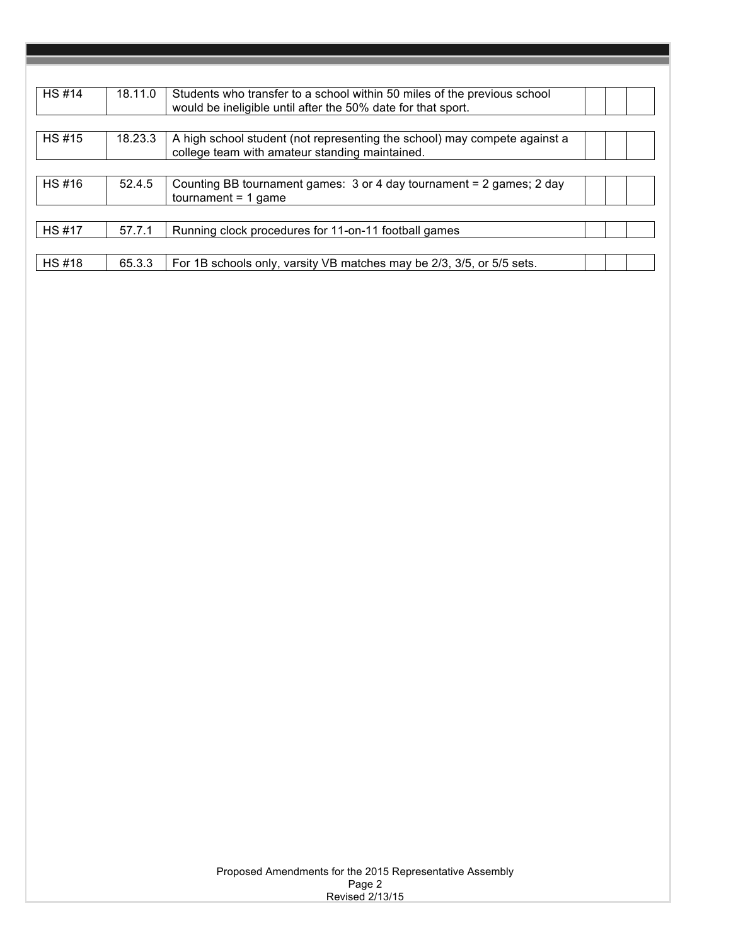| <b>HS#14</b> | 18.11.0 | Students who transfer to a school within 50 miles of the previous school<br>would be ineligible until after the 50% date for that sport. |  |  |
|--------------|---------|------------------------------------------------------------------------------------------------------------------------------------------|--|--|
|              |         |                                                                                                                                          |  |  |
| <b>HS#15</b> | 18.23.3 | A high school student (not representing the school) may compete against a<br>college team with amateur standing maintained.              |  |  |
|              |         |                                                                                                                                          |  |  |
| <b>HS#16</b> | 52.4.5  | Counting BB tournament games: 3 or 4 day tournament = 2 games; 2 day<br>$t$ normal = 1 game                                              |  |  |
|              |         |                                                                                                                                          |  |  |
| <b>HS#17</b> | 57.7.1  | Running clock procedures for 11-on-11 football games                                                                                     |  |  |
|              |         |                                                                                                                                          |  |  |
| <b>HS#18</b> | 65.3.3  | For 1B schools only, varsity VB matches may be 2/3, 3/5, or 5/5 sets.                                                                    |  |  |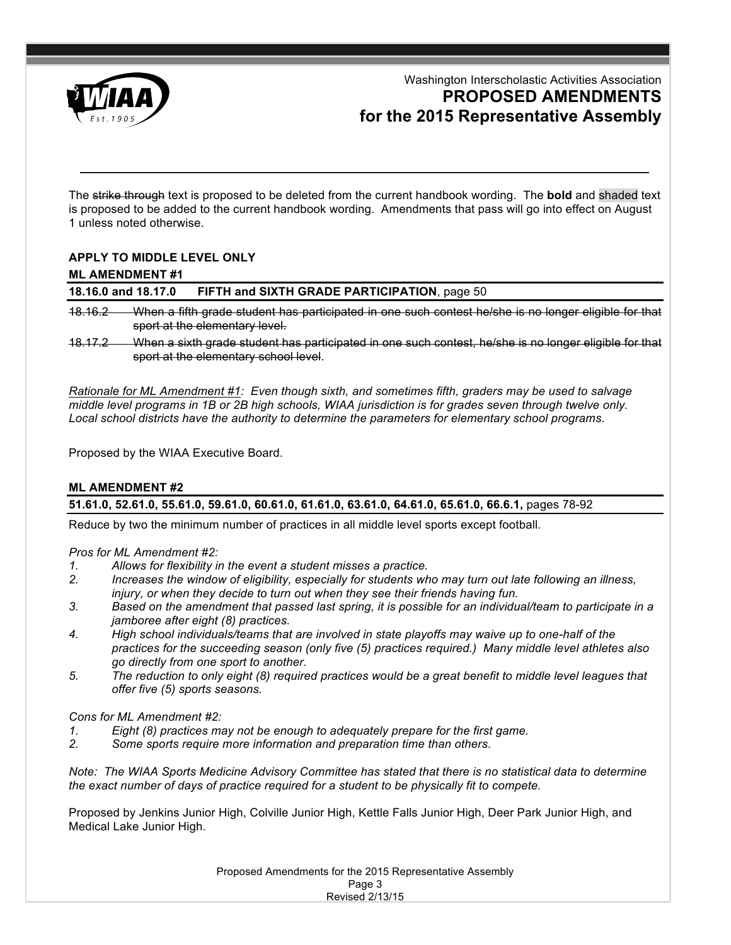

Washington Interscholastic Activities Association **PROPOSED AMENDMENTS for the 2015 Representative Assembly**

The strike through text is proposed to be deleted from the current handbook wording. The **bold** and shaded text is proposed to be added to the current handbook wording. Amendments that pass will go into effect on August 1 unless noted otherwise.

# **APPLY TO MIDDLE LEVEL ONLY**

#### **ML AMENDMENT #1**

# **18.16.0 and 18.17.0 FIFTH and SIXTH GRADE PARTICIPATION**, page 50

- 18.16.2 When a fifth grade student has participated in one such contest he/she is no longer eligible for that sport at the elementary level.
- 18.17.2 When a sixth grade student has participated in one such contest, he/she is no longer eligible for that sport at the elementary school level.

*Rationale for ML Amendment #1: Even though sixth, and sometimes fifth, graders may be used to salvage middle level programs in 1B or 2B high schools, WIAA jurisdiction is for grades seven through twelve only.*  Local school districts have the authority to determine the parameters for *elementary school programs*.

Proposed by the WIAA Executive Board.

### **ML AMENDMENT #2**

**51.61.0, 52.61.0, 55.61.0, 59.61.0, 60.61.0, 61.61.0, 63.61.0, 64.61.0, 65.61.0, 66.6.1,** pages 78-92

Reduce by two the minimum number of practices in all middle level sports except football.

### *Pros for ML Amendment #2:*

- *1. Allows for flexibility in the event a student misses a practice.*
- *2. Increases the window of eligibility, especially for students who may turn out late following an illness, injury, or when they decide to turn out when they see their friends having fun.*
- *3. Based on the amendment that passed last spring, it is possible for an individual/team to participate in a jamboree after eight (8) practices.*
- *4. High school individuals/teams that are involved in state playoffs may waive up to one-half of the practices for the succeeding season (only five (5) practices required.) Many middle level athletes also go directly from one sport to another.*
- *5. The reduction to only eight (8) required practices would be a great benefit to middle level leagues that offer five (5) sports seasons.*

### *Cons for ML Amendment #2:*

- *1. Eight (8) practices may not be enough to adequately prepare for the first game.*
- *2. Some sports require more information and preparation time than others.*

*Note: The WIAA Sports Medicine Advisory Committee has stated that there is no statistical data to determine the exact number of days of practice required for a student to be physically fit to compete.*

Proposed by Jenkins Junior High, Colville Junior High, Kettle Falls Junior High, Deer Park Junior High, and Medical Lake Junior High.

> Proposed Amendments for the 2015 Representative Assembly Page 3 Revised 2/13/15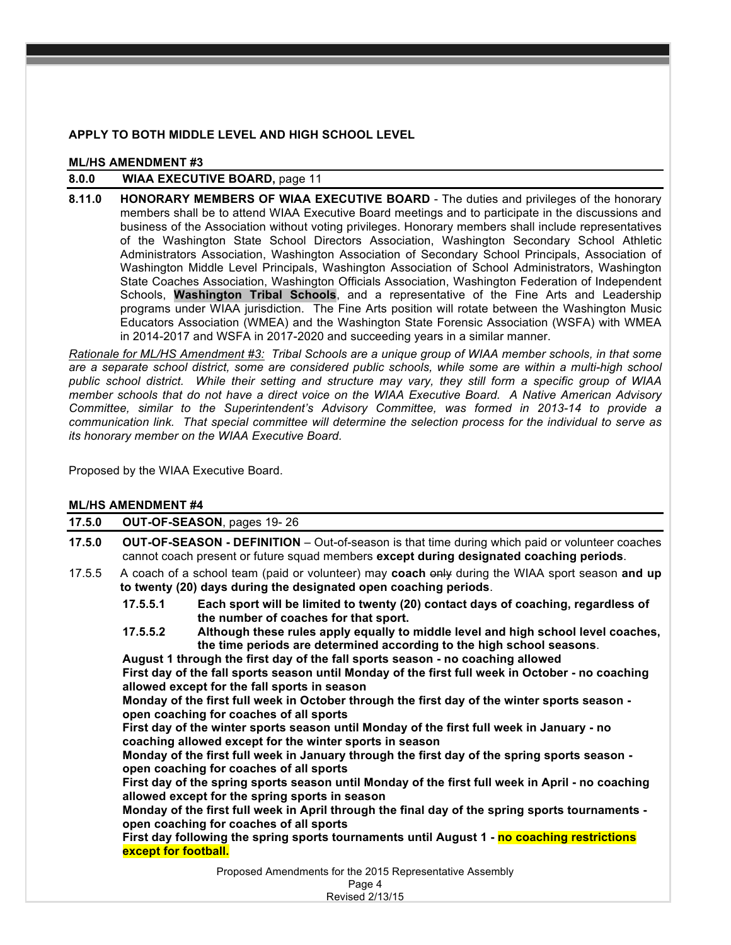# **APPLY TO BOTH MIDDLE LEVEL AND HIGH SCHOOL LEVEL**

#### **ML/HS AMENDMENT #3**

# **8.0.0 WIAA EXECUTIVE BOARD,** page 11

**8.11.0 HONORARY MEMBERS OF WIAA EXECUTIVE BOARD** - The duties and privileges of the honorary members shall be to attend WIAA Executive Board meetings and to participate in the discussions and business of the Association without voting privileges. Honorary members shall include representatives of the Washington State School Directors Association, Washington Secondary School Athletic Administrators Association, Washington Association of Secondary School Principals, Association of Washington Middle Level Principals, Washington Association of School Administrators, Washington State Coaches Association, Washington Officials Association, Washington Federation of Independent Schools, **Washington Tribal Schools**, and a representative of the Fine Arts and Leadership programs under WIAA jurisdiction. The Fine Arts position will rotate between the Washington Music Educators Association (WMEA) and the Washington State Forensic Association (WSFA) with WMEA in 2014-2017 and WSFA in 2017-2020 and succeeding years in a similar manner.

*Rationale for ML/HS Amendment #3: Tribal Schools are a unique group of WIAA member schools, in that some are a separate school district, some are considered public schools, while some are within a multi-high school public school district. While their setting and structure may vary, they still form a specific group of WIAA member schools that do not have a direct voice on the WIAA Executive Board. A Native American Advisory Committee, similar to the Superintendent's Advisory Committee, was formed in 2013-14 to provide a communication link. That special committee will determine the selection process for the individual to serve as its honorary member on the WIAA Executive Board.*

Proposed by the WIAA Executive Board.

# **ML/HS AMENDMENT #4**

|        | ML/HS AMENDMEN I #4                                                                                                                                                                                                                                                                                                                                                                                                                                                                                                                                                                                                                                                                                                                                                                                                                                                                                                                                                                                                                                                                                                                                                                                                                                                                                      |  |  |  |  |  |  |  |  |
|--------|----------------------------------------------------------------------------------------------------------------------------------------------------------------------------------------------------------------------------------------------------------------------------------------------------------------------------------------------------------------------------------------------------------------------------------------------------------------------------------------------------------------------------------------------------------------------------------------------------------------------------------------------------------------------------------------------------------------------------------------------------------------------------------------------------------------------------------------------------------------------------------------------------------------------------------------------------------------------------------------------------------------------------------------------------------------------------------------------------------------------------------------------------------------------------------------------------------------------------------------------------------------------------------------------------------|--|--|--|--|--|--|--|--|
| 17.5.0 | OUT-OF-SEASON, pages 19-26                                                                                                                                                                                                                                                                                                                                                                                                                                                                                                                                                                                                                                                                                                                                                                                                                                                                                                                                                                                                                                                                                                                                                                                                                                                                               |  |  |  |  |  |  |  |  |
| 17.5.0 | <b>OUT-OF-SEASON - DEFINITION</b> – Out-of-season is that time during which paid or volunteer coaches<br>cannot coach present or future squad members except during designated coaching periods.                                                                                                                                                                                                                                                                                                                                                                                                                                                                                                                                                                                                                                                                                                                                                                                                                                                                                                                                                                                                                                                                                                         |  |  |  |  |  |  |  |  |
| 17.5.5 | A coach of a school team (paid or volunteer) may coach only during the WIAA sport season and up<br>to twenty (20) days during the designated open coaching periods.                                                                                                                                                                                                                                                                                                                                                                                                                                                                                                                                                                                                                                                                                                                                                                                                                                                                                                                                                                                                                                                                                                                                      |  |  |  |  |  |  |  |  |
|        | 17.5.5.1<br>Each sport will be limited to twenty (20) contact days of coaching, regardless of<br>the number of coaches for that sport.<br>Although these rules apply equally to middle level and high school level coaches,<br>17.5.5.2<br>the time periods are determined according to the high school seasons.<br>August 1 through the first day of the fall sports season - no coaching allowed<br>First day of the fall sports season until Monday of the first full week in October - no coaching<br>allowed except for the fall sports in season<br>Monday of the first full week in October through the first day of the winter sports season -<br>open coaching for coaches of all sports<br>First day of the winter sports season until Monday of the first full week in January - no<br>coaching allowed except for the winter sports in season<br>Monday of the first full week in January through the first day of the spring sports season -<br>open coaching for coaches of all sports<br>First day of the spring sports season until Monday of the first full week in April - no coaching<br>allowed except for the spring sports in season<br>Monday of the first full week in April through the final day of the spring sports tournaments -<br>open coaching for coaches of all sports |  |  |  |  |  |  |  |  |
|        | First day following the spring sports tournaments until August 1 - no coaching restrictions<br>except for football.                                                                                                                                                                                                                                                                                                                                                                                                                                                                                                                                                                                                                                                                                                                                                                                                                                                                                                                                                                                                                                                                                                                                                                                      |  |  |  |  |  |  |  |  |
|        | Proposed Amendments for the 2015 Representative Assembly<br>$\Gamma$                                                                                                                                                                                                                                                                                                                                                                                                                                                                                                                                                                                                                                                                                                                                                                                                                                                                                                                                                                                                                                                                                                                                                                                                                                     |  |  |  |  |  |  |  |  |

Page 4 Revised 2/13/15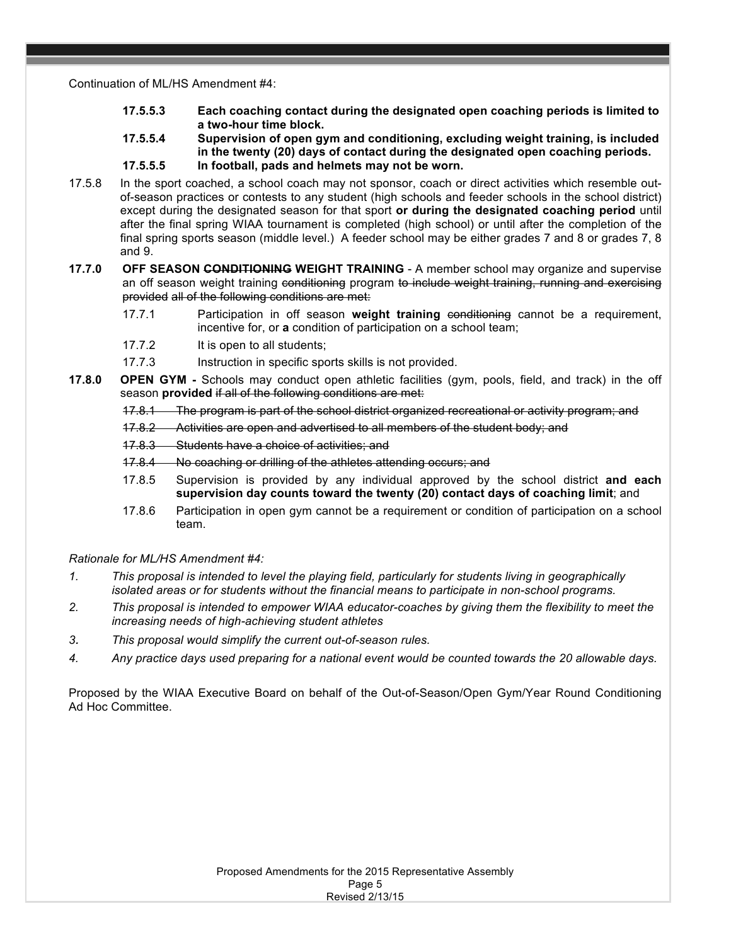Continuation of ML/HS Amendment #4:

- **17.5.5.3 Each coaching contact during the designated open coaching periods is limited to a two-hour time block.**
- **17.5.5.4 Supervision of open gym and conditioning, excluding weight training, is included in the twenty (20) days of contact during the designated open coaching periods.**
- **17.5.5.5 In football, pads and helmets may not be worn.**
- 17.5.8 In the sport coached, a school coach may not sponsor, coach or direct activities which resemble outof-season practices or contests to any student (high schools and feeder schools in the school district) except during the designated season for that sport **or during the designated coaching period** until after the final spring WIAA tournament is completed (high school) or until after the completion of the final spring sports season (middle level.) A feeder school may be either grades 7 and 8 or grades 7, 8 and 9.
- **17.7.0 OFF SEASON CONDITIONING WEIGHT TRAINING** A member school may organize and supervise an off season weight training conditioning program to include weight training, running and exercising provided all of the following conditions are met:
	- 17.7.1 Participation in off season weight training conditioning cannot be a requirement, incentive for, or **a** condition of participation on a school team;
	- 17.7.2 It is open to all students;
	- 17.7.3 Instruction in specific sports skills is not provided.
- **17.8.0 OPEN GYM -** Schools may conduct open athletic facilities (gym, pools, field, and track) in the off season **provided** if all of the following conditions are met:
	- 17.8.1 The program is part of the school district organized recreational or activity program; and
	- 17.8.2 Activities are open and advertised to all members of the student body; and
	- 17.8.3 Students have a choice of activities; and
	- 17.8.4 No coaching or drilling of the athletes attending occurs; and
	- 17.8.5 Supervision is provided by any individual approved by the school district **and each supervision day counts toward the twenty (20) contact days of coaching limit**; and
	- 17.8.6 Participation in open gym cannot be a requirement or condition of participation on a school team.

# *Rationale for ML/HS Amendment #4:*

- *1. This proposal is intended to level the playing field, particularly for students living in geographically isolated areas or for students without the financial means to participate in non-school programs.*
- *2. This proposal is intended to empower WIAA educator-coaches by giving them the flexibility to meet the increasing needs of high-achieving student athletes*
- *3. This proposal would simplify the current out-of-season rules.*
- *4. Any practice days used preparing for a national event would be counted towards the 20 allowable days.*

Proposed by the WIAA Executive Board on behalf of the Out-of-Season/Open Gym/Year Round Conditioning Ad Hoc Committee.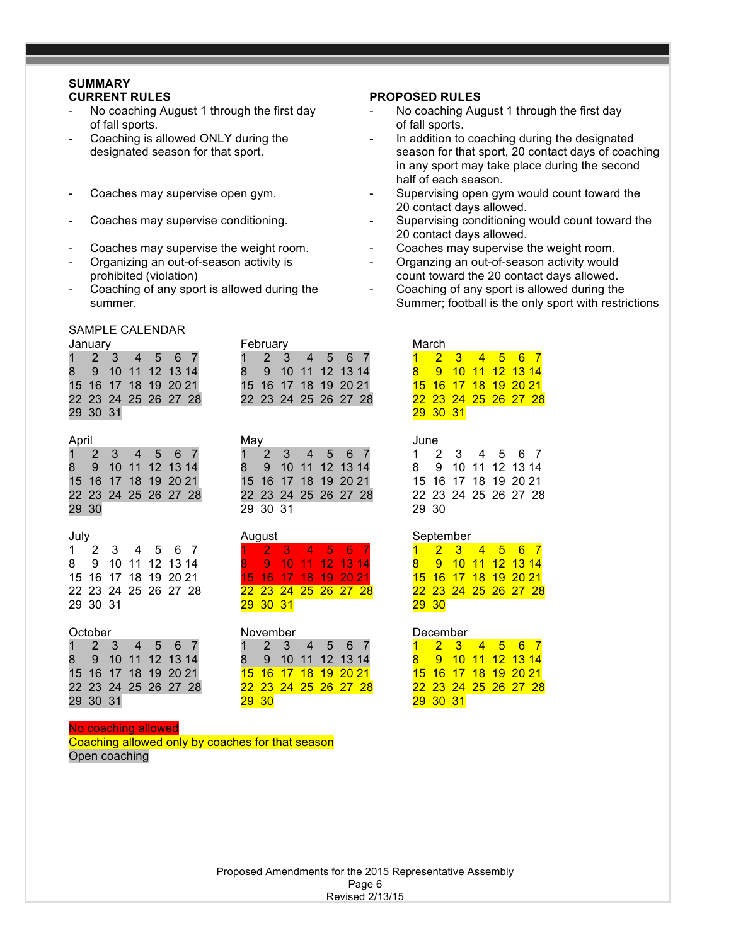# **SUMMARY**

- of fall sports. of fall sports.
- 
- 
- 
- 
- 
- 

February

#### SAMPLE CALENDAR

| January              | <b>February</b>      | March                       |
|----------------------|----------------------|-----------------------------|
| 1 2 3 4 5 6 7        | 1 2 3 4 5 6 7        | 1 2 3 4 5 6 7               |
| 8 9 10 11 12 13 14   | 8 9 10 11 12 13 14   | 8 9 10 11 12 13 14          |
| 15 16 17 18 19 20 21 | 15 16 17 18 19 20 21 | <u>15 16 17 18 19 20 21</u> |
| 22 23 24 25 26 27 28 | 22 23 24 25 26 27 28 | 22 23 24 25 26 27 28        |
| 29 30 31             |                      | 29 30 31                    |

| April |                      |  |                      | Mav |          |                      |  |  | June            |  |
|-------|----------------------|--|----------------------|-----|----------|----------------------|--|--|-----------------|--|
|       | 1 2 3 4 5 6 7        |  |                      |     |          | 1 2 3 4 5 6 7        |  |  | $1 \quad$       |  |
|       | 8 9 10 11 12 13 14   |  |                      |     |          | 8 9 10 11 12 13 14   |  |  | 89              |  |
|       | 15 16 17 18 19 20 21 |  |                      |     |          | 15 16 17 18 19 20 21 |  |  | 15 <sub>1</sub> |  |
|       |                      |  | 22 23 24 25 26 27 28 |     |          | 22 23 24 25 26 27 28 |  |  | 22 2            |  |
| 29 30 |                      |  |                      |     | 29 30 31 |                      |  |  | 29 3            |  |

|          | 1 2 3 4 5 6 7        |  |  | 1 2 3 4 5 6 7        |  |  |  |
|----------|----------------------|--|--|----------------------|--|--|--|
|          | 8 9 10 11 12 13 14   |  |  | 8 9 10 11 12 13 14   |  |  |  |
|          | 15 16 17 18 19 20 21 |  |  | 15 16 17 18 19 20 21 |  |  |  |
|          | 22 23 24 25 26 27 28 |  |  | 22 23 24 25 26 27 28 |  |  |  |
| 29 30 31 |                      |  |  | 29 30 31             |  |  |  |

1 2 3 4 5 6 7 1 2 3 4 5 6 7 1 2 3 4 5 6 7 8 9 10 11 12 13 14 8 9 10 11 12 13 14 8 9 10 11 12 13 14 15 16 17 18 19 20 21 15 16 17 18 19 20 21 22 23 24 25 26 27 28 22 23 24 25 26 27 28 22 23 24 25 26 27 28 29 30 31 29 29 30

# **CURRENT RULES PROPOSED RULES**

- No coaching August 1 through the first day Theory Coaching August 1 through the first day
- Coaching is allowed ONLY during the  $\qquad \qquad -$  In addition to coaching during the designated designated season for that sport. Season for that sport, 20 contact days of coaching in any sport may take place during the second half of each season.
- Coaches may supervise open gym.  $\qquad \qquad$  Supervising open gym would count toward the 20 contact days allowed.
- Coaches may supervise conditioning. The supervising conditioning would count toward the 20 contact days allowed.
- Coaches may supervise the weight room.  $\qquad \qquad -$  Coaches may supervise the weight room.
- Organizing an out-of-season activity is  $\qquad \qquad -$  Organzing an out-of-season activity would prohibited (violation) count toward the 20 contact days allowed.
- Coaching of any sport is allowed during the  $\qquad -$  Coaching of any sport is allowed during the summer. Summer: football is the only sport with restrictions in the structure of the structure of the structure of the structure of the structure of the structure of the structure of the structure of the structure of the s

| February |  |  |                      |  |  | March |                      |  |  |  |  |  |
|----------|--|--|----------------------|--|--|-------|----------------------|--|--|--|--|--|
|          |  |  | 1 2 3 4 5 6 7        |  |  |       | 1 2 3 4 5 6 7        |  |  |  |  |  |
|          |  |  | 8 9 10 11 12 13 14   |  |  |       | 8 9 10 11 12 13 14   |  |  |  |  |  |
|          |  |  | 15 16 17 18 19 20 21 |  |  |       | 15 16 17 18 19 20 21 |  |  |  |  |  |
|          |  |  | 22 23 24 25 26 27 28 |  |  |       | 22 23 24 25 26 27 28 |  |  |  |  |  |
|          |  |  |                      |  |  |       | 29 30 31             |  |  |  |  |  |

|       |  | 1 2 3 4 5 6 7        |  |
|-------|--|----------------------|--|
|       |  | 8 9 10 11 12 13 14   |  |
|       |  | 15 16 17 18 19 20 21 |  |
|       |  | 22 23 24 25 26 27 28 |  |
| 29 30 |  |                      |  |

#### July August September

| $1 -$        | 2 3 4 5 6 7          |  |  |
|--------------|----------------------|--|--|
|              | 8 9 10 11 12 13 14   |  |  |
|              | 15 16 17 18 19 20 21 |  |  |
|              | 22 23 24 25 26 27 28 |  |  |
| <b>29 30</b> |                      |  |  |

#### October November December

|    |          | 2 3 4 5 6 7          |  |  |
|----|----------|----------------------|--|--|
| 8. |          | 9 10 11 12 13 14     |  |  |
|    |          | 15 16 17 18 19 20 21 |  |  |
|    |          | 22 23 24 25 26 27 28 |  |  |
|    | 29 30 31 |                      |  |  |

#### No coaching allowed

Coaching allowed only by coaches for that season Open coaching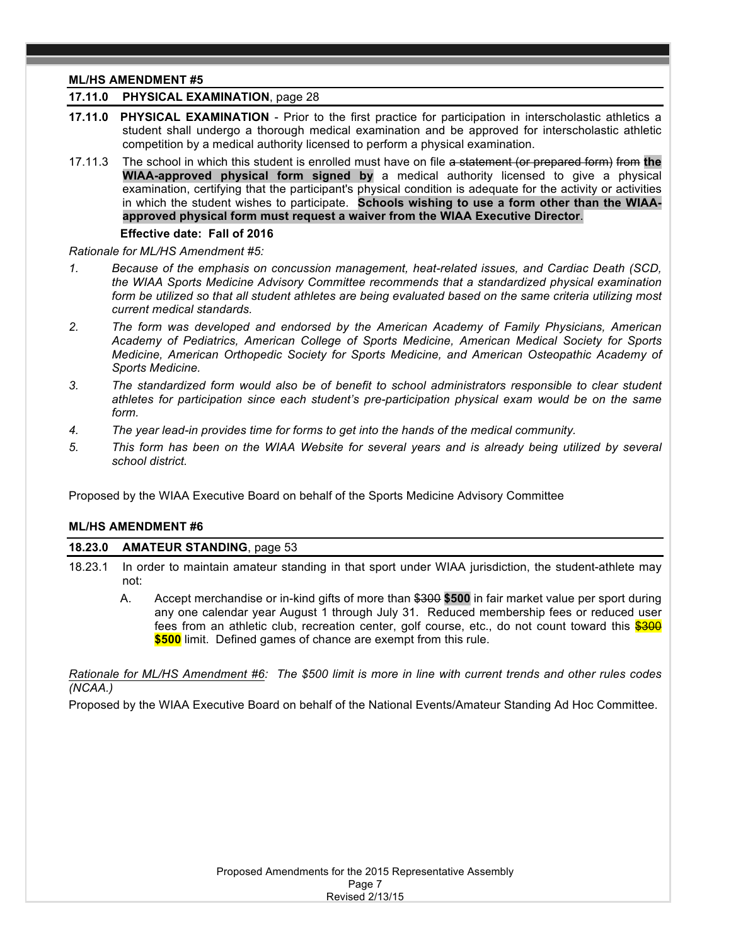# **ML/HS AMENDMENT #5**

# **17.11.0 PHYSICAL EXAMINATION**, page 28

- **17.11.0 PHYSICAL EXAMINATION** Prior to the first practice for participation in interscholastic athletics a student shall undergo a thorough medical examination and be approved for interscholastic athletic competition by a medical authority licensed to perform a physical examination.
- 17.11.3 The school in which this student is enrolled must have on file a statement (or prepared form) from **the WIAA-approved physical form signed by** a medical authority licensed to give a physical examination, certifying that the participant's physical condition is adequate for the activity or activities in which the student wishes to participate. **Schools wishing to use a form other than the WIAAapproved physical form must request a waiver from the WIAA Executive Director**.

#### **Effective date: Fall of 2016**

*Rationale for ML/HS Amendment #5:* 

- *1. Because of the emphasis on concussion management, heat-related issues, and Cardiac Death (SCD, the WIAA Sports Medicine Advisory Committee recommends that a standardized physical examination form be utilized so that all student athletes are being evaluated based on the same criteria utilizing most current medical standards.*
- *2. The form was developed and endorsed by the American Academy of Family Physicians, American Academy of Pediatrics, American College of Sports Medicine, American Medical Society for Sports Medicine, American Orthopedic Society for Sports Medicine, and American Osteopathic Academy of Sports Medicine.*
- *3. The standardized form would also be of benefit to school administrators responsible to clear student athletes for participation since each student's pre-participation physical exam would be on the same form.*
- *4. The year lead-in provides time for forms to get into the hands of the medical community.*
- *5. This form has been on the WIAA Website for several years and is already being utilized by several school district.*

Proposed by the WIAA Executive Board on behalf of the Sports Medicine Advisory Committee

### **ML/HS AMENDMENT #6**

### **18.23.0 AMATEUR STANDING**, page 53

- 18.23.1 In order to maintain amateur standing in that sport under WIAA jurisdiction, the student-athlete may not:
	- A. Accept merchandise or in-kind gifts of more than \$300 **\$500** in fair market value per sport during any one calendar year August 1 through July 31. Reduced membership fees or reduced user fees from an athletic club, recreation center, golf course, etc., do not count toward this \$300 **\$500** limit. Defined games of chance are exempt from this rule.

*Rationale for ML/HS Amendment #6: The \$500 limit is more in line with current trends and other rules codes (NCAA.)*

Proposed by the WIAA Executive Board on behalf of the National Events/Amateur Standing Ad Hoc Committee.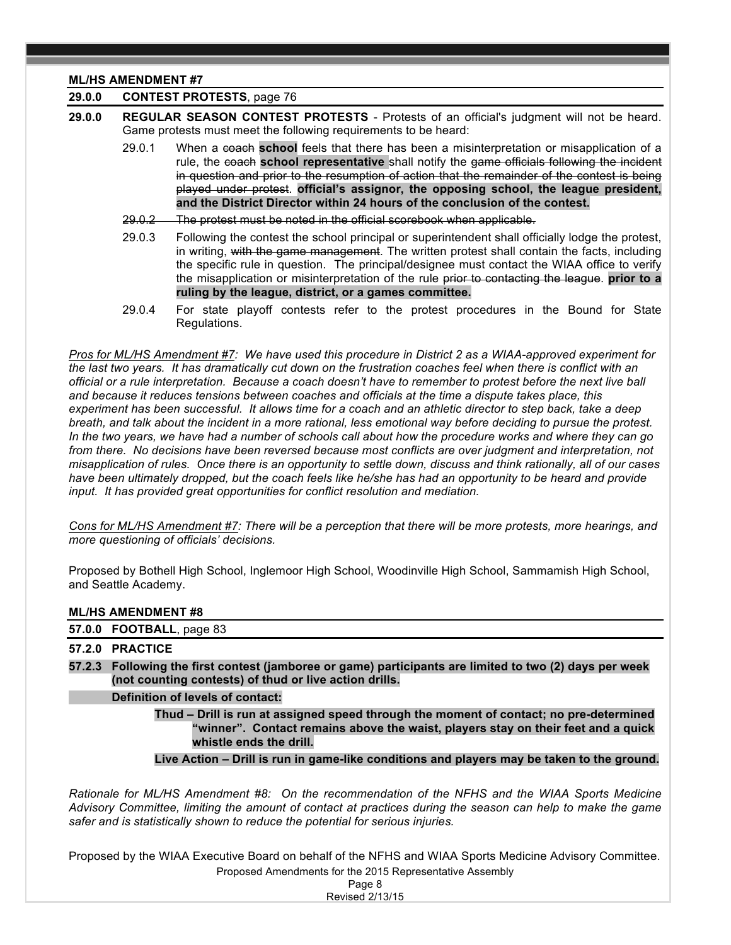#### **ML/HS AMENDMENT #7**

# **29.0.0 CONTEST PROTESTS**, page 76

- **29.0.0 REGULAR SEASON CONTEST PROTESTS** Protests of an official's judgment will not be heard. Game protests must meet the following requirements to be heard:
	- 29.0.1 When a coach **school** feels that there has been a misinterpretation or misapplication of a rule, the coach **school representative** shall notify the game officials following the incident in question and prior to the resumption of action that the remainder of the contest is being played under protest. **official's assignor, the opposing school, the league president, and the District Director within 24 hours of the conclusion of the contest.**
	- 29.0.2 The protest must be noted in the official scorebook when applicable.
	- 29.0.3 Following the contest the school principal or superintendent shall officially lodge the protest, in writing, with the game management. The written protest shall contain the facts, including the specific rule in question. The principal/designee must contact the WIAA office to verify the misapplication or misinterpretation of the rule prior to contacting the league. **prior to a ruling by the league, district, or a games committee.**
	- 29.0.4 For state playoff contests refer to the protest procedures in the Bound for State Regulations.

*Pros for ML/HS Amendment #7: We have used this procedure in District 2 as a WIAA-approved experiment for the last two years. It has dramatically cut down on the frustration coaches feel when there is conflict with an official or a rule interpretation. Because a coach doesn't have to remember to protest before the next live ball and because it reduces tensions between coaches and officials at the time a dispute takes place, this experiment has been successful. It allows time for a coach and an athletic director to step back, take a deep breath, and talk about the incident in a more rational, less emotional way before deciding to pursue the protest. In the two years, we have had a number of schools call about how the procedure works and where they can go from there. No decisions have been reversed because most conflicts are over judgment and interpretation, not misapplication of rules. Once there is an opportunity to settle down, discuss and think rationally, all of our cases have been ultimately dropped, but the coach feels like he/she has had an opportunity to be heard and provide input. It has provided great opportunities for conflict resolution and mediation.*

*Cons for ML/HS Amendment #7: There will be a perception that there will be more protests, more hearings, and more questioning of officials' decisions.* 

Proposed by Bothell High School, Inglemoor High School, Woodinville High School, Sammamish High School, and Seattle Academy.

### **ML/HS AMENDMENT #8**

**57.0.0 FOOTBALL**, page 83

## **57.2.0 PRACTICE**

**57.2.3 Following the first contest (jamboree or game) participants are limited to two (2) days per week (not counting contests) of thud or live action drills.**

#### **Definition of levels of contact:**

**Thud – Drill is run at assigned speed through the moment of contact; no pre-determined "winner". Contact remains above the waist, players stay on their feet and a quick whistle ends the drill.**

#### **Live Action – Drill is run in game-like conditions and players may be taken to the ground.**

*Rationale for ML/HS Amendment #8: On the recommendation of the NFHS and the WIAA Sports Medicine Advisory Committee, limiting the amount of contact at practices during the season can help to make the game safer and is statistically shown to reduce the potential for serious injuries.*

Proposed Amendments for the 2015 Representative Assembly Proposed by the WIAA Executive Board on behalf of the NFHS and WIAA Sports Medicine Advisory Committee.

> Page 8 Revised 2/13/15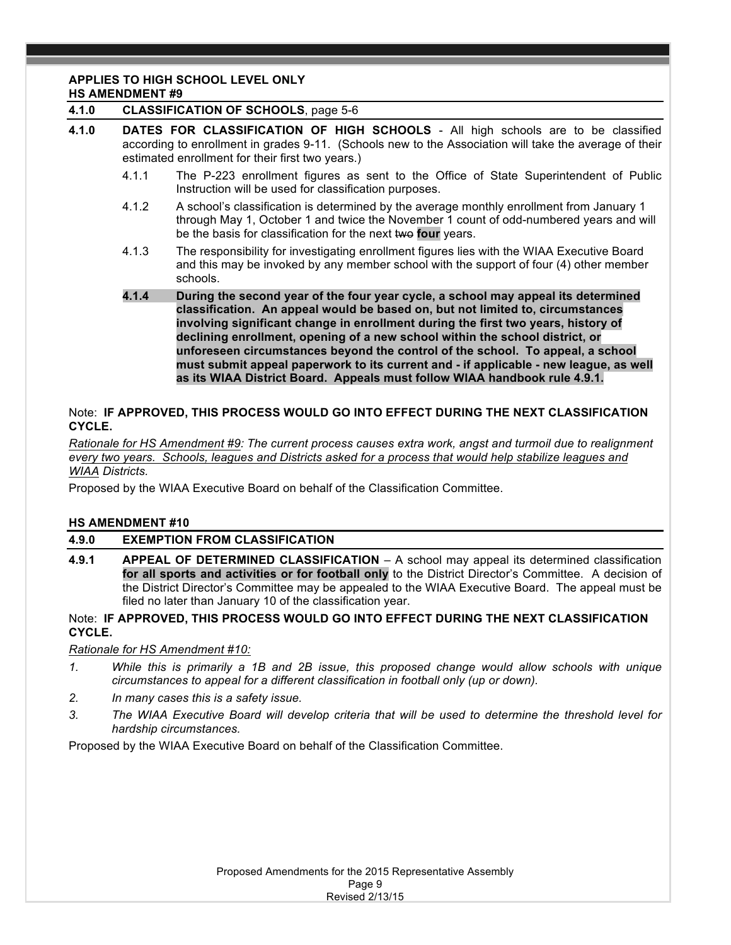# **APPLIES TO HIGH SCHOOL LEVEL ONLY**

# **HS AMENDMENT #9**

### **4.1.0 CLASSIFICATION OF SCHOOLS**, page 5-6

- **4.1.0 DATES FOR CLASSIFICATION OF HIGH SCHOOLS** All high schools are to be classified according to enrollment in grades 9-11. (Schools new to the Association will take the average of their estimated enrollment for their first two years.)
	- 4.1.1 The P-223 enrollment figures as sent to the Office of State Superintendent of Public Instruction will be used for classification purposes.
	- 4.1.2 A school's classification is determined by the average monthly enrollment from January 1 through May 1, October 1 and twice the November 1 count of odd-numbered years and will be the basis for classification for the next two four years.
	- 4.1.3 The responsibility for investigating enrollment figures lies with the WIAA Executive Board and this may be invoked by any member school with the support of four (4) other member schools.
	- **4.1.4 During the second year of the four year cycle, a school may appeal its determined classification. An appeal would be based on, but not limited to, circumstances involving significant change in enrollment during the first two years, history of declining enrollment, opening of a new school within the school district, or unforeseen circumstances beyond the control of the school. To appeal, a school must submit appeal paperwork to its current and - if applicable - new league, as well as its WIAA District Board. Appeals must follow WIAA handbook rule 4.9.1.**

# Note:**IF APPROVED, THIS PROCESS WOULD GO INTO EFFECT DURING THE NEXT CLASSIFICATION CYCLE.**

*Rationale for HS Amendment #9: The current process causes extra work, angst and turmoil due to realignment every two years. Schools, leagues and Districts asked for a process that would help stabilize leagues and WIAA Districts.*

Proposed by the WIAA Executive Board on behalf of the Classification Committee.

# **HS AMENDMENT #10**

# **4.9.0 EXEMPTION FROM CLASSIFICATION**

**4.9.1 APPEAL OF DETERMINED CLASSIFICATION** – A school may appeal its determined classification **for all sports and activities or for football only** to the District Director's Committee. A decision of the District Director's Committee may be appealed to the WIAA Executive Board. The appeal must be filed no later than January 10 of the classification year.

# Note:**IF APPROVED, THIS PROCESS WOULD GO INTO EFFECT DURING THE NEXT CLASSIFICATION CYCLE.**

### *Rationale for HS Amendment #10:*

- *1. While this is primarily a 1B and 2B issue, this proposed change would allow schools with unique circumstances to appeal for a different classification in football only (up or down).*
- *2. In many cases this is a safety issue.*
- *3. The WIAA Executive Board will develop criteria that will be used to determine the threshold level for hardship circumstances.*

Proposed by the WIAA Executive Board on behalf of the Classification Committee.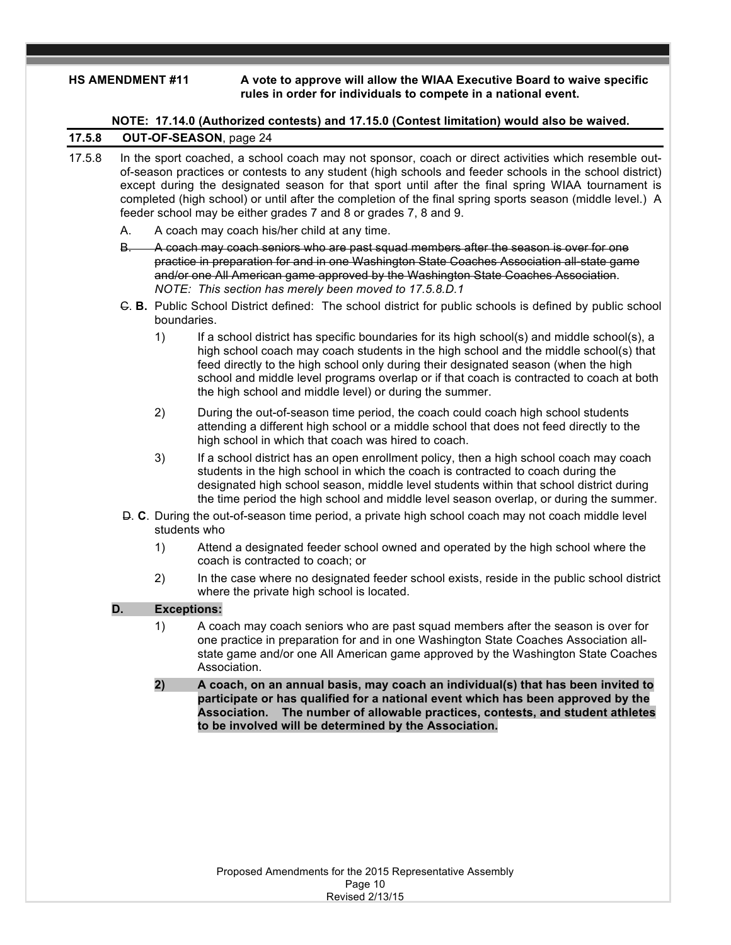#### **HS AMENDMENT #11 A vote to approve will allow the WIAA Executive Board to waive specific rules in order for individuals to compete in a national event.**

**NOTE: 17.14.0 (Authorized contests) and 17.15.0 (Contest limitation) would also be waived.**

# **17.5.8 OUT-OF-SEASON**, page 24

- 17.5.8 In the sport coached, a school coach may not sponsor, coach or direct activities which resemble outof-season practices or contests to any student (high schools and feeder schools in the school district) except during the designated season for that sport until after the final spring WIAA tournament is completed (high school) or until after the completion of the final spring sports season (middle level.) A feeder school may be either grades 7 and 8 or grades 7, 8 and 9.
	- A. A coach may coach his/her child at any time.
	- B. A coach may coach seniors who are past squad members after the season is over for one practice in preparation for and in one Washington State Coaches Association all-state game and/or one All American game approved by the Washington State Coaches Association. *NOTE: This section has merely been moved to 17.5.8.D.1*
	- C. **B.** Public School District defined: The school district for public schools is defined by public school boundaries.
		- 1) If a school district has specific boundaries for its high school(s) and middle school(s), a high school coach may coach students in the high school and the middle school(s) that feed directly to the high school only during their designated season (when the high school and middle level programs overlap or if that coach is contracted to coach at both the high school and middle level) or during the summer.
		- 2) During the out-of-season time period, the coach could coach high school students attending a different high school or a middle school that does not feed directly to the high school in which that coach was hired to coach.
		- 3) If a school district has an open enrollment policy, then a high school coach may coach students in the high school in which the coach is contracted to coach during the designated high school season, middle level students within that school district during the time period the high school and middle level season overlap, or during the summer.
	- D. **C**. During the out-of-season time period, a private high school coach may not coach middle level students who
		- 1) Attend a designated feeder school owned and operated by the high school where the coach is contracted to coach; or
		- 2) In the case where no designated feeder school exists, reside in the public school district where the private high school is located.

# **D. Exceptions:**

- 1) A coach may coach seniors who are past squad members after the season is over for one practice in preparation for and in one Washington State Coaches Association allstate game and/or one All American game approved by the Washington State Coaches Association.
- **2) A coach, on an annual basis, may coach an individual(s) that has been invited to participate or has qualified for a national event which has been approved by the Association. The number of allowable practices, contests, and student athletes to be involved will be determined by the Association.**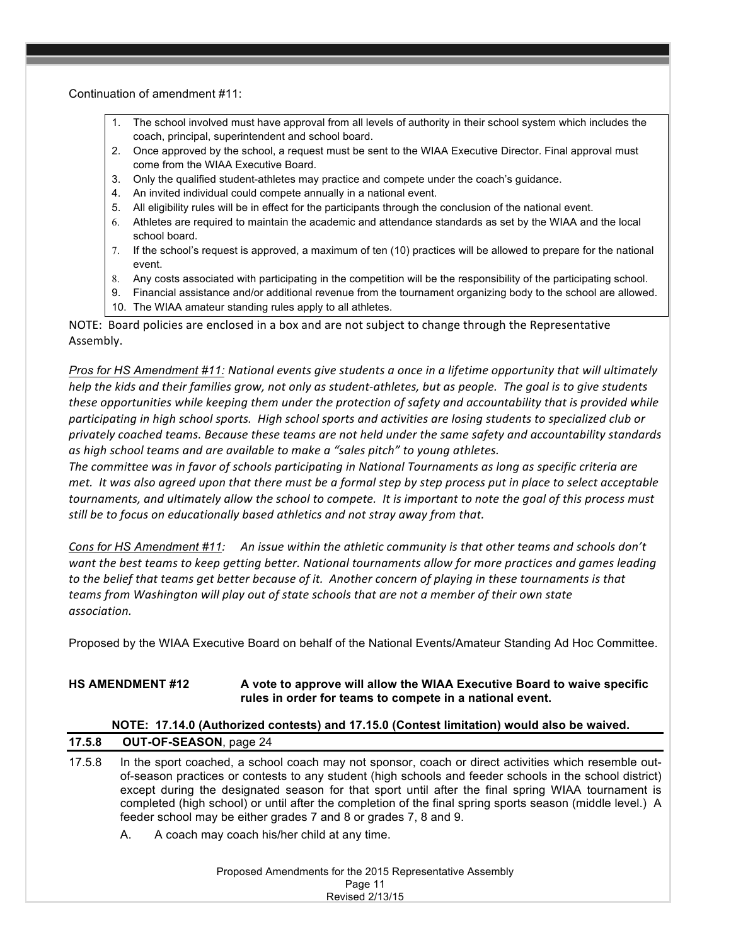Continuation of amendment #11:

- 1. The school involved must have approval from all levels of authority in their school system which includes the coach, principal, superintendent and school board.
- 2. Once approved by the school, a request must be sent to the WIAA Executive Director. Final approval must come from the WIAA Executive Board.
- 3. Only the qualified student-athletes may practice and compete under the coach's guidance.
- 4. An invited individual could compete annually in a national event.
- 5. All eligibility rules will be in effect for the participants through the conclusion of the national event.
- 6. Athletes are required to maintain the academic and attendance standards as set by the WIAA and the local school board.
- 7. If the school's request is approved, a maximum of ten (10) practices will be allowed to prepare for the national event.
- 8. Any costs associated with participating in the competition will be the responsibility of the participating school.
- 9. Financial assistance and/or additional revenue from the tournament organizing body to the school are allowed.
- 10. The WIAA amateur standing rules apply to all athletes.

NOTE: Board policies are enclosed in a box and are not subject to change through the Representative Assembly.

*Pros* for HS Amendment #11: National events give students a once in a lifetime opportunity that will ultimately *help* the kids and their families grow, not only as student-athletes, but as people. The goal is to give students *these opportunities* while keeping them under the protection of safety and accountability that is provided while participating in high school sports. High school sports and activities are losing students to specialized club or *privately coached teams. Because these teams are not held under the same safety and accountability standards*  as high school *teams* and are available to make a "sales pitch" to young athletes.

*The committee was in favor of schools participating in National Tournaments as long as specific criteria are met.* It was also agreed upon that there must be a formal step by step process put in place to select acceptable tournaments, and ultimately allow the school to compete. It is important to note the goal of this process must still be to focus on educationally based athletics and not stray away from that.

*Cons* for HS Amendment #11: An issue within the athletic community is that other teams and schools don't want the best teams to keep getting better. National tournaments allow for more practices and games leading to the belief that teams get better because of it. Another concern of playing in these tournaments is that *teams* from Washington will play out of state schools that are not a member of their own state *association.*

Proposed by the WIAA Executive Board on behalf of the National Events/Amateur Standing Ad Hoc Committee.

# **HS AMENDMENT #12 A vote to approve will allow the WIAA Executive Board to waive specific rules in order for teams to compete in a national event.**

|        | NOTE: 17.14.0 (Authorized contests) and 17.15.0 (Contest limitation) would also be waived.                                                                                                                                                                                                                                                                                                                                                                                                             |  |  |  |  |  |  |  |  |
|--------|--------------------------------------------------------------------------------------------------------------------------------------------------------------------------------------------------------------------------------------------------------------------------------------------------------------------------------------------------------------------------------------------------------------------------------------------------------------------------------------------------------|--|--|--|--|--|--|--|--|
| 17.5.8 | <b>OUT-OF-SEASON, page 24</b>                                                                                                                                                                                                                                                                                                                                                                                                                                                                          |  |  |  |  |  |  |  |  |
| 17.5.8 | In the sport coached, a school coach may not sponsor, coach or direct activities which resemble out-<br>of-season practices or contests to any student (high schools and feeder schools in the school district)<br>except during the designated season for that sport until after the final spring WIAA tournament is<br>completed (high school) or until after the completion of the final spring sports season (middle level.) A<br>feeder school may be either grades 7 and 8 or grades 7, 8 and 9. |  |  |  |  |  |  |  |  |
|        | A coach may coach his/her child at any time.<br>А.                                                                                                                                                                                                                                                                                                                                                                                                                                                     |  |  |  |  |  |  |  |  |
|        | Proposed Amendments for the 2015 Representative Assembly<br>Page 11                                                                                                                                                                                                                                                                                                                                                                                                                                    |  |  |  |  |  |  |  |  |
|        | Revised 2/13/15                                                                                                                                                                                                                                                                                                                                                                                                                                                                                        |  |  |  |  |  |  |  |  |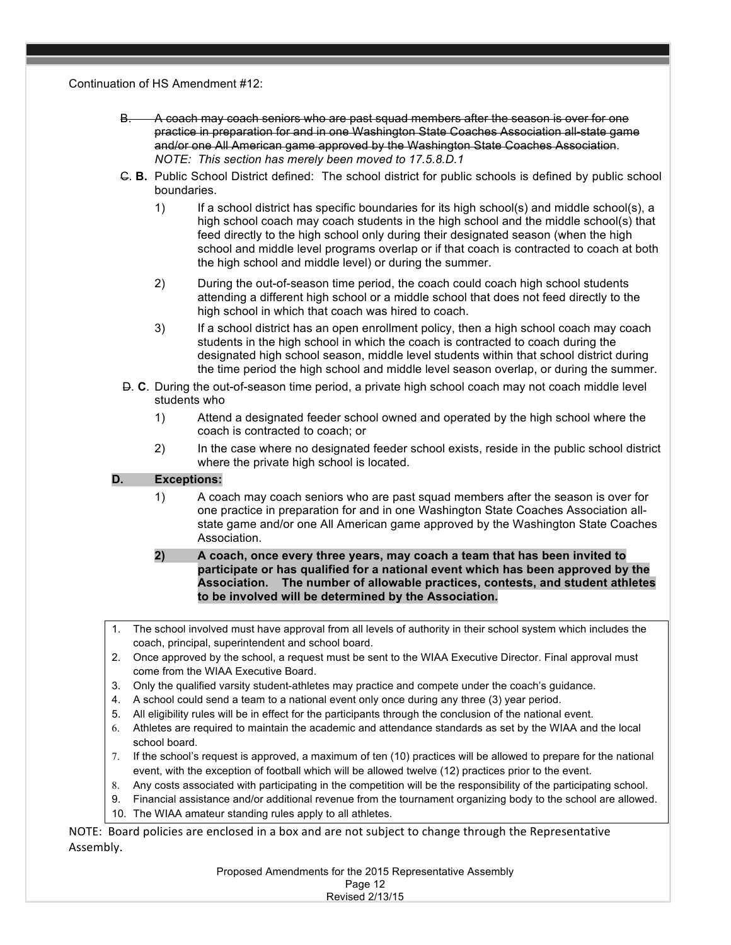Continuation of HS Amendment #12:

- B. A coach may coach seniors who are past squad members after the season is over for one practice in preparation for and in one Washington State Coaches Association all-state game and/or one All American game approved by the Washington State Coaches Association. *NOTE: This section has merely been moved to 17.5.8.D.1*
- C. **B.** Public School District defined: The school district for public schools is defined by public school boundaries.
	- 1) If a school district has specific boundaries for its high school(s) and middle school(s), a high school coach may coach students in the high school and the middle school(s) that feed directly to the high school only during their designated season (when the high school and middle level programs overlap or if that coach is contracted to coach at both the high school and middle level) or during the summer.
	- 2) During the out-of-season time period, the coach could coach high school students attending a different high school or a middle school that does not feed directly to the high school in which that coach was hired to coach.
	- 3) If a school district has an open enrollment policy, then a high school coach may coach students in the high school in which the coach is contracted to coach during the designated high school season, middle level students within that school district during the time period the high school and middle level season overlap, or during the summer.
- D. **C**. During the out-of-season time period, a private high school coach may not coach middle level students who
	- 1) Attend a designated feeder school owned and operated by the high school where the coach is contracted to coach; or
	- 2) In the case where no designated feeder school exists, reside in the public school district where the private high school is located.

# **D. Exceptions:**

- 1) A coach may coach seniors who are past squad members after the season is over for one practice in preparation for and in one Washington State Coaches Association allstate game and/or one All American game approved by the Washington State Coaches Association.
- **2) A coach, once every three years, may coach a team that has been invited to participate or has qualified for a national event which has been approved by the Association. The number of allowable practices, contests, and student athletes to be involved will be determined by the Association.**
- 1. The school involved must have approval from all levels of authority in their school system which includes the coach, principal, superintendent and school board.
- 2. Once approved by the school, a request must be sent to the WIAA Executive Director. Final approval must come from the WIAA Executive Board.
- 3. Only the qualified varsity student-athletes may practice and compete under the coach's guidance.
- 4. A school could send a team to a national event only once during any three (3) year period.
- 5. All eligibility rules will be in effect for the participants through the conclusion of the national event.
- 6. Athletes are required to maintain the academic and attendance standards as set by the WIAA and the local school board.
- 7. If the school's request is approved, a maximum of ten (10) practices will be allowed to prepare for the national event, with the exception of football which will be allowed twelve (12) practices prior to the event.
- 8. Any costs associated with participating in the competition will be the responsibility of the participating school.
- 9. Financial assistance and/or additional revenue from the tournament organizing body to the school are allowed.
- 10. The WIAA amateur standing rules apply to all athletes.

NOTE: Board policies are enclosed in a box and are not subject to change through the Representative Assembly.

> Proposed Amendments for the 2015 Representative Assembly Page 12

| Faye iz                |  |  |
|------------------------|--|--|
| <b>Revised 2/13/15</b> |  |  |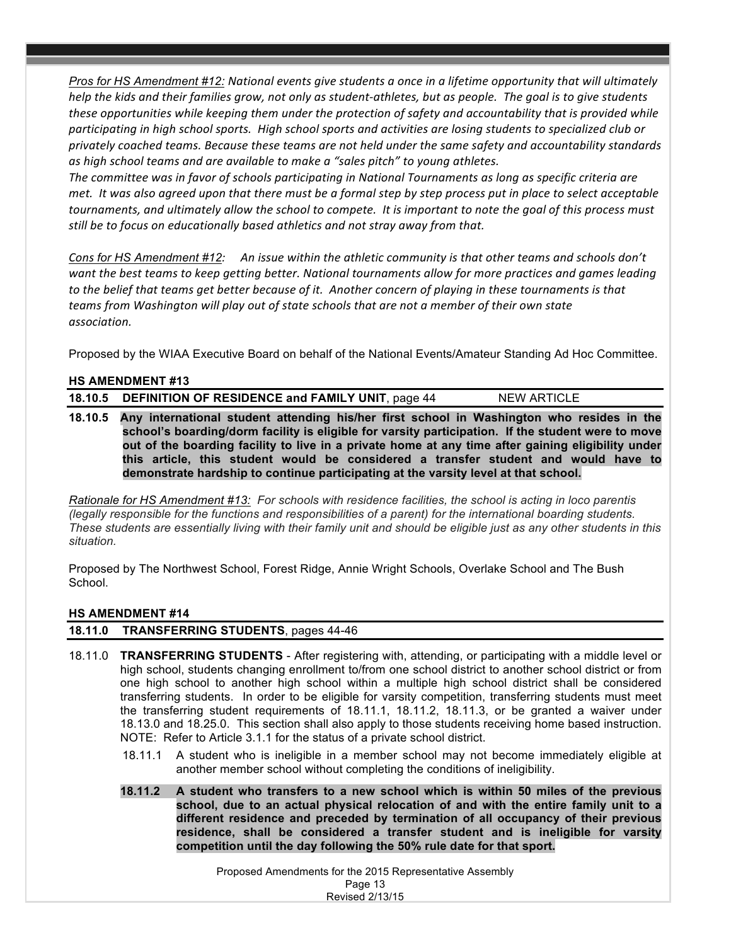*Pros for HS Amendment* #12: National events give students a once in a lifetime opportunity that will ultimately *help* the kids and their families grow, not only as student-athletes, but as people. The goal is to give students *these opportunities* while keeping them under the protection of safety and accountability that is provided while participating in high school sports. High school sports and activities are losing students to specialized club or *privately coached teams. Because these teams are not held under the same safety and accountability standards*  as high school teams and are available to make a "sales pitch" to young athletes.

The committee was in favor of schools participating in National Tournaments as long as specific criteria are *met.* It was also agreed upon that there must be a formal step by step process put in place to select acceptable tournaments, and ultimately allow the school to compete. It is important to note the goal of this process must *still* be to focus on educationally based athletics and not stray away from that.

*Cons* for HS Amendment #12: An issue within the athletic community is that other teams and schools don't want the best teams to keep getting better. National tournaments allow for more practices and games leading to the belief that teams get better because of it. Another concern of playing in these tournaments is that *teams* from Washington will play out of state schools that are not a member of their own state *association.*

Proposed by the WIAA Executive Board on behalf of the National Events/Amateur Standing Ad Hoc Committee.

### **HS AMENDMENT #13**

| 18.10.5 DEFINITION OF RESIDENCE and FAMILY UNIT, page 44                                           | NEW ARTICLE |
|----------------------------------------------------------------------------------------------------|-------------|
| 18.10.5 Any international student attending his/her first school in Washington who resides in the  |             |
| school's boarding/dorm facility is eligible for varsity participation. If the student were to move |             |

**school's boarding/dorm facility is eligible for varsity participation. If the student were to move out of the boarding facility to live in a private home at any time after gaining eligibility under this article, this student would be considered a transfer student and would have to demonstrate hardship to continue participating at the varsity level at that school.**

*Rationale for HS Amendment #13: For schools with residence facilities, the school is acting in loco parentis (legally responsible for the functions and responsibilities of a parent) for the international boarding students. These students are essentially living with their family unit and should be eligible just as any other students in this situation.*

Proposed by The Northwest School, Forest Ridge, Annie Wright Schools, Overlake School and The Bush School.

### **HS AMENDMENT #14**

### **18.11.0 TRANSFERRING STUDENTS**, pages 44-46

- 18.11.0 **TRANSFERRING STUDENTS** After registering with, attending, or participating with a middle level or high school, students changing enrollment to/from one school district to another school district or from one high school to another high school within a multiple high school district shall be considered transferring students. In order to be eligible for varsity competition, transferring students must meet the transferring student requirements of 18.11.1, 18.11.2, 18.11.3, or be granted a waiver under 18.13.0 and 18.25.0. This section shall also apply to those students receiving home based instruction. NOTE: Refer to Article 3.1.1 for the status of a private school district.
	- 18.11.1 A student who is ineligible in a member school may not become immediately eligible at another member school without completing the conditions of ineligibility.
	- **18.11.2 A student who transfers to a new school which is within 50 miles of the previous school, due to an actual physical relocation of and with the entire family unit to a different residence and preceded by termination of all occupancy of their previous residence, shall be considered a transfer student and is ineligible for varsity competition until the day following the 50% rule date for that sport.**

Proposed Amendments for the 2015 Representative Assembly Page 13 Revised 2/13/15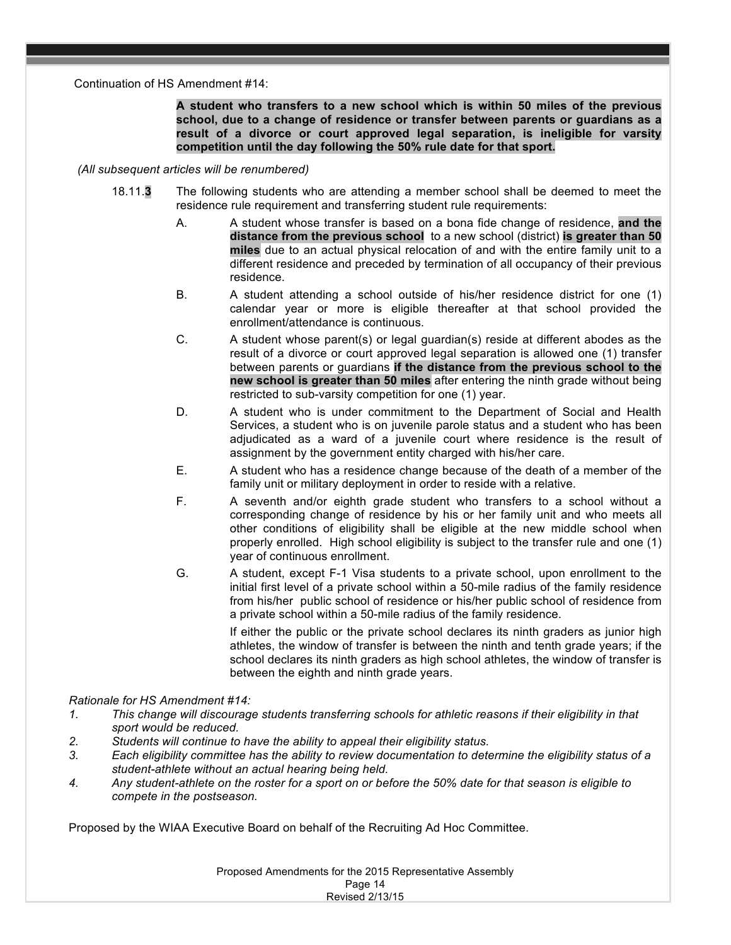Continuation of HS Amendment #14:

**A student who transfers to a new school which is within 50 miles of the previous school, due to a change of residence or transfer between parents or guardians as a result of a divorce or court approved legal separation, is ineligible for varsity competition until the day following the 50% rule date for that sport.**

#### *(All subsequent articles will be renumbered)*

- 18.11.**3** The following students who are attending a member school shall be deemed to meet the residence rule requirement and transferring student rule requirements:
	- A. A student whose transfer is based on a bona fide change of residence, **and the distance from the previous school** to a new school (district) **is greater than 50 miles** due to an actual physical relocation of and with the entire family unit to a different residence and preceded by termination of all occupancy of their previous residence.
	- B. A student attending a school outside of his/her residence district for one (1) calendar year or more is eligible thereafter at that school provided the enrollment/attendance is continuous.
	- C. A student whose parent(s) or legal guardian(s) reside at different abodes as the result of a divorce or court approved legal separation is allowed one (1) transfer between parents or guardians **if the distance from the previous school to the new school is greater than 50 miles** after entering the ninth grade without being restricted to sub-varsity competition for one (1) year.
	- D. A student who is under commitment to the Department of Social and Health Services, a student who is on juvenile parole status and a student who has been adjudicated as a ward of a juvenile court where residence is the result of assignment by the government entity charged with his/her care.
	- E. A student who has a residence change because of the death of a member of the family unit or military deployment in order to reside with a relative.
	- F. A seventh and/or eighth grade student who transfers to a school without a corresponding change of residence by his or her family unit and who meets all other conditions of eligibility shall be eligible at the new middle school when properly enrolled. High school eligibility is subject to the transfer rule and one (1) year of continuous enrollment.
	- G. A student, except F-1 Visa students to a private school, upon enrollment to the initial first level of a private school within a 50-mile radius of the family residence from his/her public school of residence or his/her public school of residence from a private school within a 50-mile radius of the family residence.

 If either the public or the private school declares its ninth graders as junior high athletes, the window of transfer is between the ninth and tenth grade years; if the school declares its ninth graders as high school athletes, the window of transfer is between the eighth and ninth grade years.

### *Rationale for HS Amendment #14:*

- *1. This change will discourage students transferring schools for athletic reasons if their eligibility in that sport would be reduced.*
- *2. Students will continue to have the ability to appeal their eligibility status.*
- *3. Each eligibility committee has the ability to review documentation to determine the eligibility status of a student-athlete without an actual hearing being held.*
- *4. Any student-athlete on the roster for a sport on or before the 50% date for that season is eligible to compete in the postseason.*

Proposed by the WIAA Executive Board on behalf of the Recruiting Ad Hoc Committee.

Proposed Amendments for the 2015 Representative Assembly Page 14 Revised 2/13/15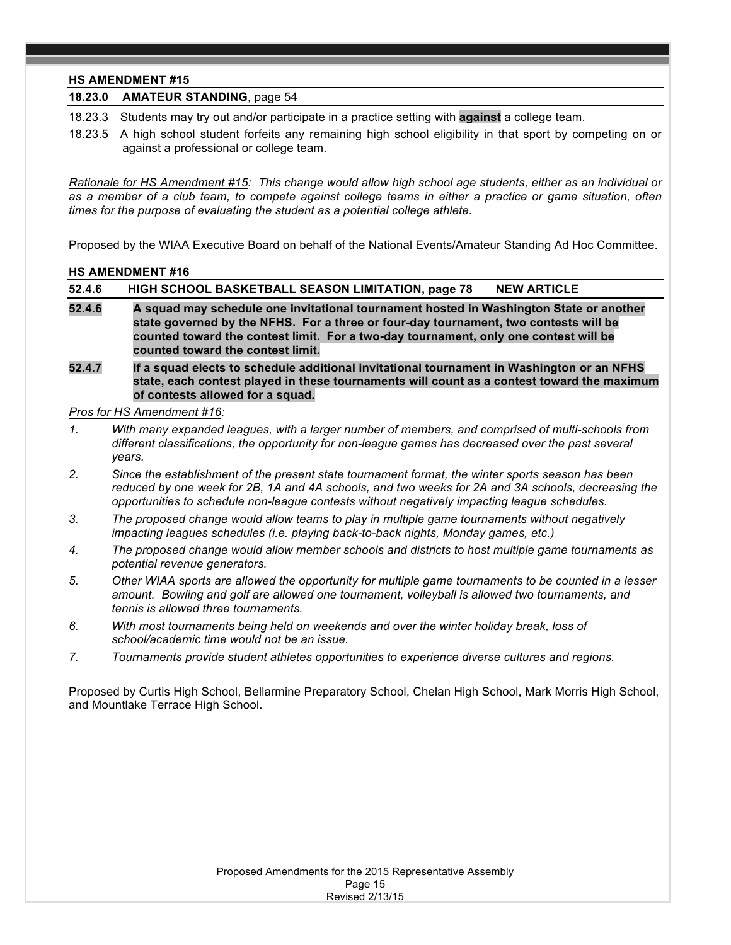### **HS AMENDMENT #15**

#### **18.23.0 AMATEUR STANDING**, page 54

18.23.3 Students may try out and/or participate in a practice setting with **against** a college team.

18.23.5 A high school student forfeits any remaining high school eligibility in that sport by competing on or against a professional or college team.

*Rationale for HS Amendment #15: This change would allow high school age students, either as an individual or as a member of a club team, to compete against college teams in either a practice or game situation, often times for the purpose of evaluating the student as a potential college athlete.*

Proposed by the WIAA Executive Board on behalf of the National Events/Amateur Standing Ad Hoc Committee.

### **HS AMENDMENT #16**

| 52.4.6 | HIGH SCHOOL BASKETBALL SEASON LIMITATION, page 78<br><b>NEW ARTICLE</b>                                                                                                                                                                                                |
|--------|------------------------------------------------------------------------------------------------------------------------------------------------------------------------------------------------------------------------------------------------------------------------|
| 52.4.6 | A squad may schedule one invitational tournament hosted in Washington State or another<br>state governed by the NFHS. For a three or four-day tournament, two contests will be<br>counted toward the contest limit. For a two-day tournament, only one contest will be |
|        | counted toward the contest limit.                                                                                                                                                                                                                                      |

**52.4.7 If a squad elects to schedule additional invitational tournament in Washington or an NFHS state, each contest played in these tournaments will count as a contest toward the maximum of contests allowed for a squad.**

*Pros for HS Amendment #16:* 

- *1. With many expanded leagues, with a larger number of members, and comprised of multi-schools from different classifications, the opportunity for non-league games has decreased over the past several years.*
- *2. Since the establishment of the present state tournament format, the winter sports season has been reduced by one week for 2B, 1A and 4A schools, and two weeks for 2A and 3A schools, decreasing the opportunities to schedule non-league contests without negatively impacting league schedules.*
- *3. The proposed change would allow teams to play in multiple game tournaments without negatively impacting leagues schedules (i.e. playing back-to-back nights, Monday games, etc.)*
- *4. The proposed change would allow member schools and districts to host multiple game tournaments as potential revenue generators.*
- *5. Other WIAA sports are allowed the opportunity for multiple game tournaments to be counted in a lesser amount. Bowling and golf are allowed one tournament, volleyball is allowed two tournaments, and tennis is allowed three tournaments.*
- *6. With most tournaments being held on weekends and over the winter holiday break, loss of school/academic time would not be an issue.*
- *7. Tournaments provide student athletes opportunities to experience diverse cultures and regions.*

Proposed by Curtis High School, Bellarmine Preparatory School, Chelan High School, Mark Morris High School, and Mountlake Terrace High School.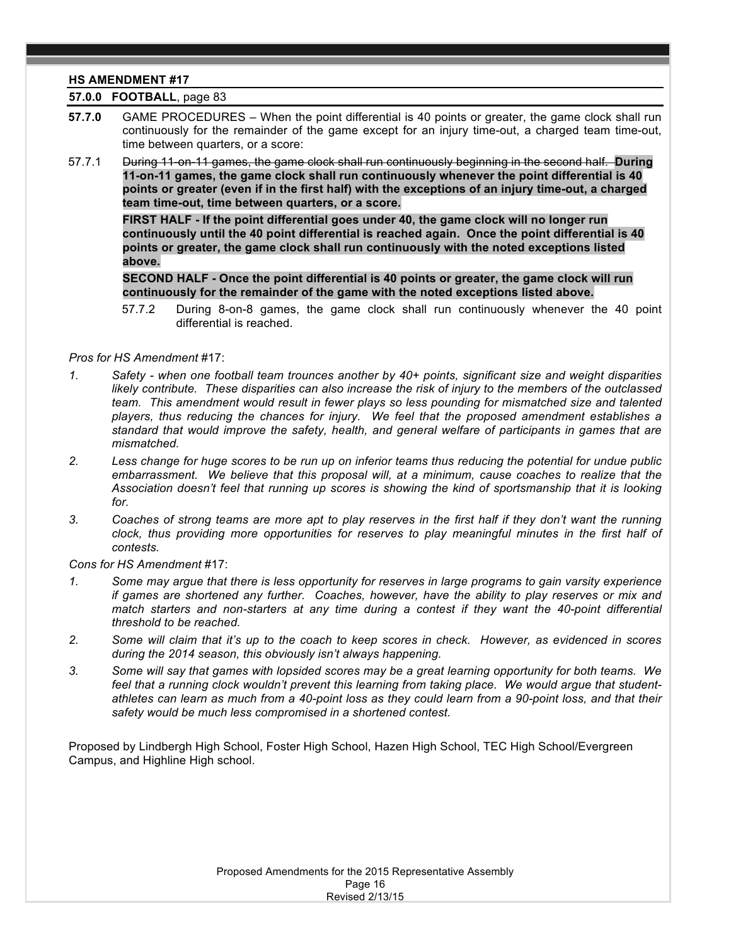# **HS AMENDMENT #17**

# **57.0.0 FOOTBALL**, page 83

- **57.7.0** GAME PROCEDURES When the point differential is 40 points or greater, the game clock shall run continuously for the remainder of the game except for an injury time-out, a charged team time-out, time between quarters, or a score:
- 57.7.1 During 11-on-11 games, the game clock shall run continuously beginning in the second half. **During 11-on-11 games, the game clock shall run continuously whenever the point differential is 40 points or greater (even if in the first half) with the exceptions of an injury time-out, a charged team time-out, time between quarters, or a score.**

**FIRST HALF - If the point differential goes under 40, the game clock will no longer run continuously until the 40 point differential is reached again. Once the point differential is 40 points or greater, the game clock shall run continuously with the noted exceptions listed above.**

**SECOND HALF - Once the point differential is 40 points or greater, the game clock will run continuously for the remainder of the game with the noted exceptions listed above.**

57.7.2 During 8-on-8 games, the game clock shall run continuously whenever the 40 point differential is reached.

#### *Pros for HS Amendment* #17:

- *1. Safety - when one football team trounces another by 40+ points, significant size and weight disparities likely contribute. These disparities can also increase the risk of injury to the members of the outclassed team. This amendment would result in fewer plays so less pounding for mismatched size and talented players, thus reducing the chances for injury. We feel that the proposed amendment establishes a standard that would improve the safety, health, and general welfare of participants in games that are mismatched.*
- *2. Less change for huge scores to be run up on inferior teams thus reducing the potential for undue public embarrassment. We believe that this proposal will, at a minimum, cause coaches to realize that the Association doesn't feel that running up scores is showing the kind of sportsmanship that it is looking for.*
- *3. Coaches of strong teams are more apt to play reserves in the first half if they don't want the running clock, thus providing more opportunities for reserves to play meaningful minutes in the first half of contests.*

*Cons for HS Amendment* #17:

- *1. Some may argue that there is less opportunity for reserves in large programs to gain varsity experience if games are shortened any further. Coaches, however, have the ability to play reserves or mix and match starters and non-starters at any time during a contest if they want the 40-point differential threshold to be reached.*
- *2. Some will claim that it's up to the coach to keep scores in check. However, as evidenced in scores during the 2014 season, this obviously isn't always happening.*
- *3. Some will say that games with lopsided scores may be a great learning opportunity for both teams. We feel that a running clock wouldn't prevent this learning from taking place. We would argue that studentathletes can learn as much from a 40-point loss as they could learn from a 90-point loss, and that their safety would be much less compromised in a shortened contest.*

Proposed by Lindbergh High School, Foster High School, Hazen High School, TEC High School/Evergreen Campus, and Highline High school.